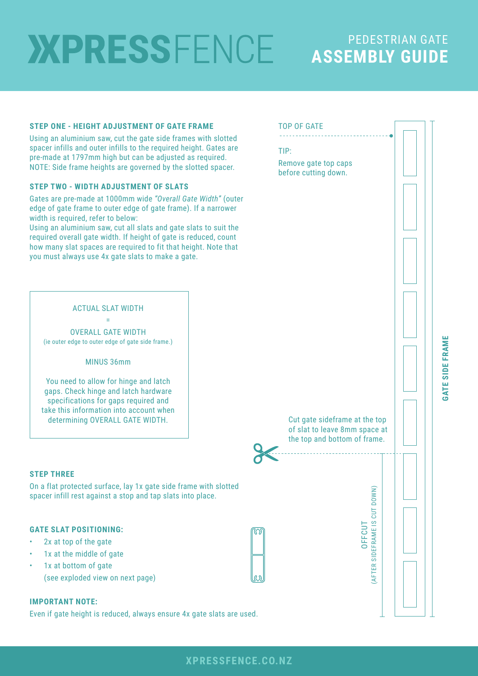# **XPRESSFENCE**

# PEDESTRIAN GATE **ASSEMBLY GUIDE**

### **STEP ONE - HEIGHT ADJUSTMENT OF GATE FRAME**

Using an aluminium saw, cut the gate side frames with slotted spacer infills and outer infills to the required height. Gates are pre-made at 1797mm high but can be adjusted as required. NOTE: Side frame heights are governed by the slotted spacer.

### **STEP TWO - WIDTH ADJUSTMENT OF SLATS**

Gates are pre-made at 1000mm wide *"Overall Gate Width"* (outer edge of gate frame to outer edge of gate frame). If a narrower width is required, refer to below:

Using an aluminium saw, cut all slats and gate slats to suit the required overall gate width. If height of gate is reduced, count how many slat spaces are required to fit that height. Note that you must always use 4x gate slats to make a gate.

### ACTUAL SLAT WIDTH

= OVERALL GATE WIDTH (ie outer edge to outer edge of gate side frame.)

### MINUS 36mm

You need to allow for hinge and latch gaps. Check hinge and latch hardware specifications for gaps required and take this information into account when determining OVERALL GATE WIDTH.

### **STEP THREE**

On a flat protected surface, lay 1x gate side frame with slotted spacer infill rest against a stop and tap slats into place.

### **GATE SLAT POSITIONING:**

- 2x at top of the gate
- 1x at the middle of gate
- 1x at bottom of gate (see exploded view on next page)

### **IMPORTANT NOTE:**

Even if gate height is reduced, always ensure 4x gate slats are used.



GATE SIDE FRAME **GATE SIDE FRAME**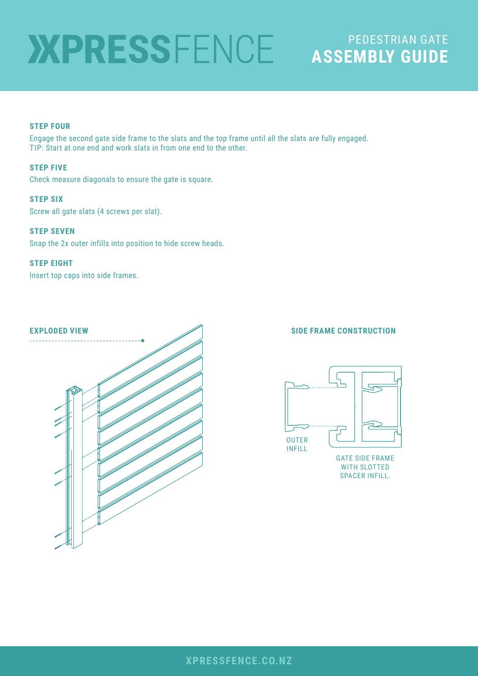# PEDESTRIAN GATE **ASSEMBLY GUIDE**

### **STEP FOUR**

Engage the second gate side frame to the slats and the top frame until all the slats are fully engaged. TIP: Start at one end and work slats in from one end to the other.

### **STEP FIVE**

Check measure diagonals to ensure the gate is square.

### **STEP SIX**

Screw all gate slats (4 screws per slat).

### **STEP SEVEN**

Snap the 2x outer infills into position to hide screw heads.

### **STEP EIGHT**

Insert top caps into side frames.

# **EXPLODED VIEW SIDE FRAME CONSTRUCTION**



WITH SLOTTED SPACER INFILL.

### **XPRESSFENCE.CO.NZ**